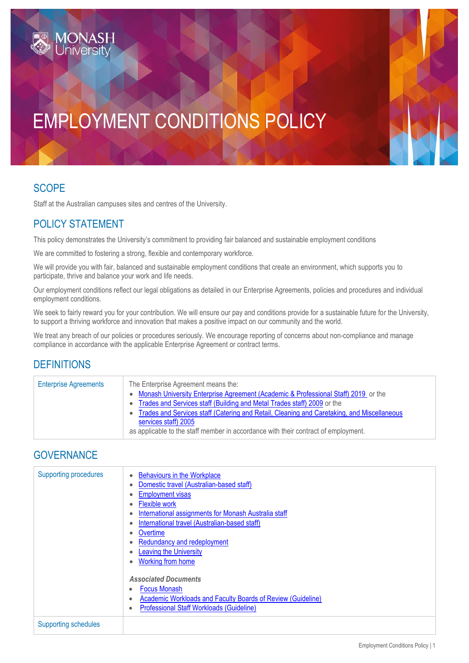# EMPLOYMENT CONDITIONS POLICY

## SCOPE

Staff at the Australian campuses sites and centres of the University.

## POLICY STATEMENT

This policy demonstrates the University's commitment to providing fair balanced and sustainable employment conditions

We are committed to fostering a strong, flexible and contemporary workforce.

We will provide you with fair, balanced and sustainable employment conditions that create an environment, which supports you to participate, thrive and balance your work and life needs.

Our employment conditions reflect our legal obligations as detailed in our Enterprise Agreements, policies and procedures and individual employment conditions.

We seek to fairly reward you for your contribution. We will ensure our pay and conditions provide for a sustainable future for the University, to support a thriving workforce and innovation that makes a positive impact on our community and the world.

We treat any breach of our policies or procedures seriously. We encourage reporting of concerns about non-compliance and manage compliance in accordance with the applicable Enterprise Agreement or contract terms.

### **DEFINITIONS**

| <b>Enterprise Agreements</b> | The Enterprise Agreement means the:<br>• Monash University Enterprise Agreement (Academic & Professional Staff) 2019 or the<br>• Trades and Services staff (Building and Metal Trades staff) 2009 or the<br>• Trades and Services staff (Catering and Retail, Cleaning and Caretaking, and Miscellaneous<br>services staff) 2005<br>as applicable to the staff member in accordance with their contract of employment. |
|------------------------------|------------------------------------------------------------------------------------------------------------------------------------------------------------------------------------------------------------------------------------------------------------------------------------------------------------------------------------------------------------------------------------------------------------------------|
|                              |                                                                                                                                                                                                                                                                                                                                                                                                                        |

### **GOVERNANCE**

| <b>Supporting procedures</b> | <b>Behaviours in the Workplace</b><br>Domestic travel (Australian-based staff)<br><b>Employment visas</b><br><b>Flexible work</b><br>International assignments for Monash Australia staff<br>International travel (Australian-based staff)<br>Overtime<br>٠<br>Redundancy and redeployment<br><b>Leaving the University</b><br><b>Working from home</b><br><b>Associated Documents</b><br><b>Focus Monash</b><br><b>Academic Workloads and Faculty Boards of Review (Guideline)</b><br>٠<br><b>Professional Staff Workloads (Guideline)</b> |
|------------------------------|---------------------------------------------------------------------------------------------------------------------------------------------------------------------------------------------------------------------------------------------------------------------------------------------------------------------------------------------------------------------------------------------------------------------------------------------------------------------------------------------------------------------------------------------|
| <b>Supporting schedules</b>  |                                                                                                                                                                                                                                                                                                                                                                                                                                                                                                                                             |